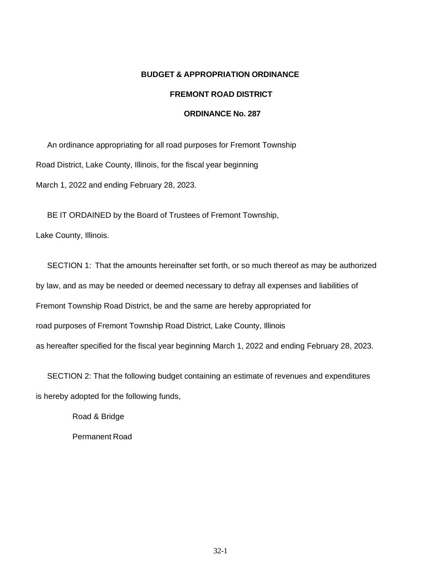### **BUDGET & APPROPRIATION ORDINANCE**

### **FREMONT ROAD DISTRICT**

#### **ORDINANCE No. 287**

An ordinance appropriating for all road purposes for Fremont Township Road District, Lake County, Illinois, for the fiscal year beginning March 1, 2022 and ending February 28, 2023.

BE IT ORDAINED by the Board of Trustees of Fremont Township,

Lake County, Illinois.

SECTION 1: That the amounts hereinafter set forth, or so much thereof as may be authorized by law, and as may be needed or deemed necessary to defray all expenses and liabilities of Fremont Township Road District, be and the same are hereby appropriated for road purposes of Fremont Township Road District, Lake County, Illinois as hereafter specified for the fiscal year beginning March 1, 2022 and ending February 28, 2023.

SECTION 2: That the following budget containing an estimate of revenues and expenditures is hereby adopted for the following funds,

> Road & Bridge Permanent Road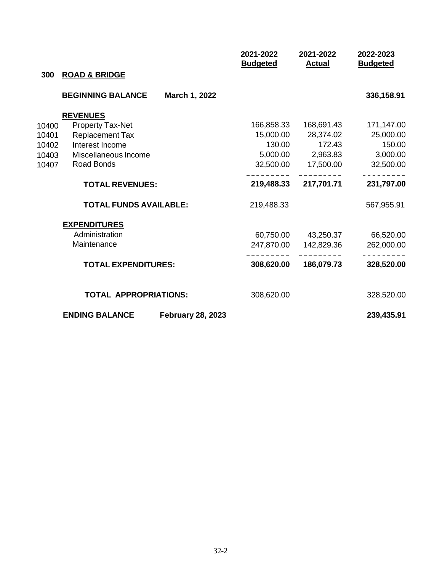| 300   | <b>ROAD &amp; BRIDGE</b>      |                          | 2021-2022<br><b>Budgeted</b> | 2021-2022<br><b>Actual</b> | 2022-2023<br><b>Budgeted</b> |
|-------|-------------------------------|--------------------------|------------------------------|----------------------------|------------------------------|
|       | <b>BEGINNING BALANCE</b>      | March 1, 2022            |                              |                            | 336,158.91                   |
|       | <b>REVENUES</b>               |                          |                              |                            |                              |
| 10400 | <b>Property Tax-Net</b>       |                          | 166,858.33                   | 168,691.43                 | 171,147.00                   |
| 10401 | <b>Replacement Tax</b>        |                          | 15,000.00                    | 28,374.02                  | 25,000.00                    |
| 10402 | Interest Income               |                          | 130.00                       | 172.43                     | 150.00                       |
| 10403 | Miscellaneous Income          |                          |                              | 5,000.00 2,963.83          | 3,000.00                     |
| 10407 | Road Bonds                    |                          |                              | 32,500.00 17,500.00        | 32,500.00                    |
|       | <b>TOTAL REVENUES:</b>        |                          |                              | 219,488.33 217,701.71      | 231,797.00                   |
|       | <b>TOTAL FUNDS AVAILABLE:</b> |                          | 219,488.33                   |                            | 567,955.91                   |
|       | <b>EXPENDITURES</b>           |                          |                              |                            |                              |
|       | Administration                |                          |                              | 60,750.00 43,250.37        | 66,520.00                    |
|       | Maintenance                   |                          | 247,870.00                   | 142,829.36                 | 262,000.00                   |
|       | <b>TOTAL EXPENDITURES:</b>    |                          | 308,620.00                   | 186,079.73                 | 328,520.00                   |
|       | <b>TOTAL APPROPRIATIONS:</b>  |                          | 308,620.00                   |                            | 328,520.00                   |
|       | <b>ENDING BALANCE</b>         | <b>February 28, 2023</b> |                              |                            | 239,435.91                   |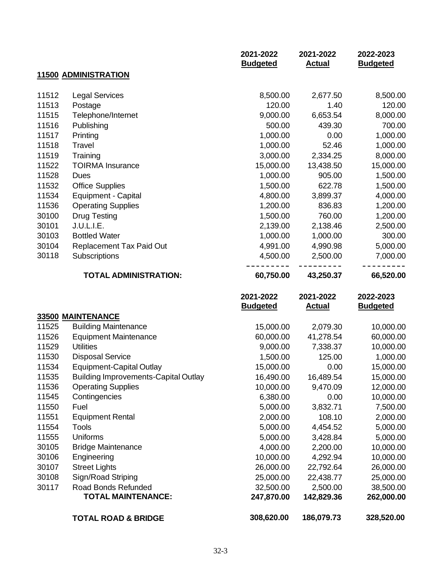|       |                                             | 2021-2022<br><b>Budgeted</b> | 2021-2022<br><b>Actual</b> | 2022-2023<br><b>Budgeted</b> |
|-------|---------------------------------------------|------------------------------|----------------------------|------------------------------|
|       | <b>11500 ADMINISTRATION</b>                 |                              |                            |                              |
|       |                                             |                              |                            |                              |
| 11512 | <b>Legal Services</b>                       | 8,500.00                     | 2,677.50                   | 8,500.00                     |
| 11513 | Postage                                     | 120.00                       | 1.40                       | 120.00                       |
| 11515 | Telephone/Internet                          | 9,000.00                     | 6,653.54                   | 8,000.00                     |
| 11516 | Publishing                                  | 500.00                       | 439.30                     | 700.00                       |
| 11517 | Printing                                    | 1,000.00                     | 0.00                       | 1,000.00                     |
| 11518 | Travel                                      | 1,000.00                     | 52.46                      | 1,000.00                     |
| 11519 | Training                                    | 3,000.00                     | 2,334.25                   | 8,000.00                     |
| 11522 | <b>TOIRMA</b> Insurance                     | 15,000.00                    | 13,438.50                  | 15,000.00                    |
| 11528 | <b>Dues</b>                                 | 1,000.00                     | 905.00                     | 1,500.00                     |
| 11532 | <b>Office Supplies</b>                      | 1,500.00                     | 622.78                     | 1,500.00                     |
| 11534 | Equipment - Capital                         | 4,800.00                     | 3,899.37                   | 4,000.00                     |
| 11536 | <b>Operating Supplies</b>                   | 1,200.00                     | 836.83                     | 1,200.00                     |
| 30100 | <b>Drug Testing</b>                         | 1,500.00                     | 760.00                     | 1,200.00                     |
| 30101 | J.U.L.I.E.                                  | 2,139.00                     | 2,138.46                   | 2,500.00                     |
| 30103 | <b>Bottled Water</b>                        | 1,000.00                     | 1,000.00                   | 300.00                       |
| 30104 | <b>Replacement Tax Paid Out</b>             | 4,991.00                     | 4,990.98                   | 5,000.00                     |
| 30118 | Subscriptions                               | 4,500.00                     | 2,500.00                   | 7,000.00                     |
|       | <b>TOTAL ADMINISTRATION:</b>                | 60,750.00                    | 43,250.37                  | 66,520.00                    |
|       |                                             | 2021-2022<br><b>Budgeted</b> | 2021-2022<br><b>Actual</b> | 2022-2023<br><b>Budgeted</b> |
|       | 33500 MAINTENANCE                           |                              |                            |                              |
| 11525 | <b>Building Maintenance</b>                 | 15,000.00                    | 2,079.30                   | 10,000.00                    |
| 11526 | <b>Equipment Maintenance</b>                | 60,000.00                    | 41,278.54                  | 60,000.00                    |
| 11529 | <b>Utilities</b>                            | 9,000.00                     | 7,338.37                   | 10,000.00                    |
| 11530 | <b>Disposal Service</b>                     | 1,500.00                     | 125.00                     | 1,000.00                     |
| 11534 | <b>Equipment-Capital Outlay</b>             | 15,000.00                    | 0.00                       | 15,000.00                    |
| 11535 | <b>Building Improvements-Capital Outlay</b> | 16,490.00                    | 16,489.54                  | 15,000.00                    |
| 11536 | <b>Operating Supplies</b>                   | 10,000.00                    | 9,470.09                   | 12,000.00                    |
| 11545 | Contingencies                               | 6,380.00                     | 0.00                       | 10,000.00                    |

| 30105 | <b>Bridge Maintenance</b> |  |
|-------|---------------------------|--|
| 30106 | Engineering               |  |
| 30107 | <b>Street Lights</b>      |  |
| 30108 | Sign/Road Striping        |  |
| 30117 | Road Bonds Refunded       |  |
|       | <b>TOTAL MAINTENANCE:</b> |  |

11550 Fuel

11554 Tools 11555 Uniforms

11551 Equipment Rental

**TOTAL ROAD & BRIDGE**

**308,620.00 186,079.73 328,520.00**

5,000.00 3,832.71 7,500.00 2,000.00 108.10 2,000.00 5,000.00 4,454.52 5,000.00 5,000.00 3,428.84 5,000.00 4,000.00 2,200.00 10,000.00 10,000.00 4,292.94 10,000.00 26,000.00 22,792.64 26,000.00 25,000.00 22,438.77 25,000.00 32,500.00 2,500.00 38,500.00 **247,870.00 142,829.36 262,000.00**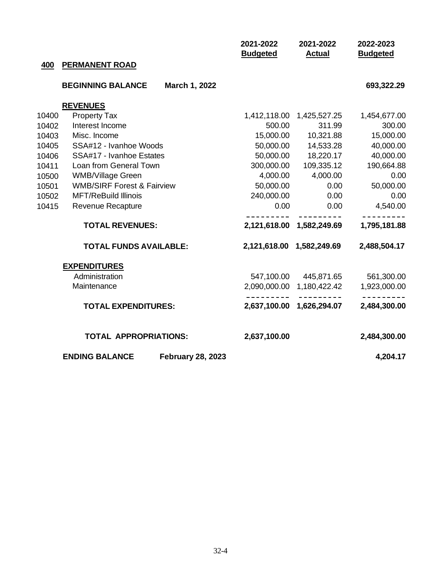|       |                                       |                          | 2021-2022<br><b>Budgeted</b> | 2021-2022<br><b>Actual</b> | 2022-2023<br><b>Budgeted</b> |
|-------|---------------------------------------|--------------------------|------------------------------|----------------------------|------------------------------|
| 400   | <b>PERMANENT ROAD</b>                 |                          |                              |                            |                              |
|       |                                       |                          |                              |                            |                              |
|       | <b>BEGINNING BALANCE</b>              | March 1, 2022            |                              |                            | 693,322.29                   |
|       | <b>REVENUES</b>                       |                          |                              |                            |                              |
| 10400 | <b>Property Tax</b>                   |                          |                              | 1,412,118.00  1,425,527.25 | 1,454,677.00                 |
| 10402 | Interest Income                       |                          | 500.00                       | 311.99                     | 300.00                       |
| 10403 | Misc. Income                          |                          | 15,000.00                    | 10,321.88                  | 15,000.00                    |
| 10405 | SSA#12 - Ivanhoe Woods                |                          | 50,000.00                    | 14,533.28                  | 40,000.00                    |
| 10406 | SSA#17 - Ivanhoe Estates              |                          | 50,000.00                    | 18,220.17                  | 40,000.00                    |
| 10411 | Loan from General Town                |                          | 300,000.00                   | 109,335.12                 | 190,664.88                   |
| 10500 | <b>WMB/Village Green</b>              |                          | 4,000.00                     | 4,000.00                   | 0.00                         |
| 10501 | <b>WMB/SIRF Forest &amp; Fairview</b> |                          | 50,000.00                    | 0.00                       | 50,000.00                    |
| 10502 | <b>MFT/ReBuild Illinois</b>           |                          | 240,000.00                   | 0.00                       | 0.00                         |
| 10415 | Revenue Recapture                     |                          | 0.00                         | 0.00                       | 4,540.00                     |
|       | <b>TOTAL REVENUES:</b>                |                          |                              | 2,121,618.00 1,582,249.69  | 1,795,181.88                 |
|       | <b>TOTAL FUNDS AVAILABLE:</b>         |                          | 2,121,618.00                 | 1,582,249.69               | 2,488,504.17                 |
|       | <b>EXPENDITURES</b>                   |                          |                              |                            |                              |
|       | Administration                        |                          |                              | 547,100.00 445,871.65      | 561,300.00                   |
|       | Maintenance                           |                          |                              | 2,090,000.00 1,180,422.42  | 1,923,000.00                 |
|       | <b>TOTAL EXPENDITURES:</b>            |                          |                              | 2,637,100.00 1,626,294.07  | 2,484,300.00                 |
|       | <b>TOTAL APPROPRIATIONS:</b>          |                          | 2,637,100.00                 |                            | 2,484,300.00                 |
|       | <b>ENDING BALANCE</b>                 | <b>February 28, 2023</b> |                              |                            | 4,204.17                     |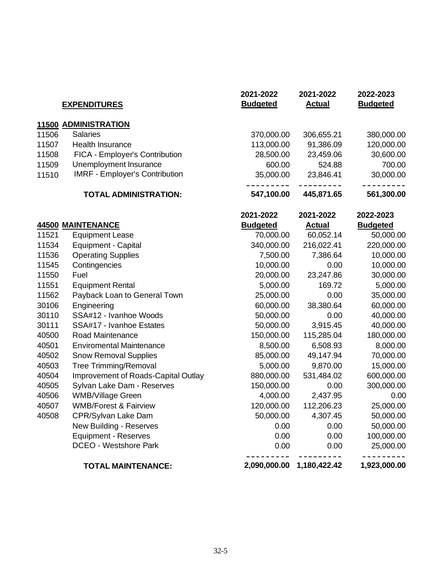|       | <b>EXPENDITURES</b>                   | 2021-2022<br><b>Budgeted</b> | 2021-2022<br><b>Actual</b> | 2022-2023<br><b>Budgeted</b> |
|-------|---------------------------------------|------------------------------|----------------------------|------------------------------|
|       | <b>11500 ADMINISTRATION</b>           |                              |                            |                              |
| 11506 | <b>Salaries</b>                       | 370,000.00                   | 306,655.21                 | 380,000.00                   |
| 11507 | <b>Health Insurance</b>               | 113,000.00                   | 91,386.09                  | 120,000.00                   |
| 11508 | FICA - Employer's Contribution        | 28,500.00                    | 23,459.06                  | 30,600.00                    |
| 11509 | Unemployment Insurance                | 600.00                       | 524.88                     | 700.00                       |
| 11510 | <b>IMRF - Employer's Contribution</b> | 35,000.00                    | 23,846.41                  | 30,000.00                    |
|       | <b>TOTAL ADMINISTRATION:</b>          | 547,100.00                   | 445,871.65                 | 561,300.00                   |
|       |                                       | 2021-2022                    | 2021-2022                  | 2022-2023                    |
|       | <b>44500 MAINTENANCE</b>              | <b>Budgeted</b>              | <b>Actual</b>              | <b>Budgeted</b>              |
| 11521 | <b>Equipment Lease</b>                | 70,000.00                    | 60,052.14                  | 50,000.00                    |
| 11534 | <b>Equipment - Capital</b>            | 340,000.00                   | 216,022.41                 | 220,000.00                   |
| 11536 | <b>Operating Supplies</b>             | 7,500.00                     | 7,386.64                   | 10,000.00                    |
| 11545 | Contingencies                         | 10,000.00                    | 0.00                       | 10,000.00                    |
| 11550 | Fuel                                  | 20,000.00                    | 23,247.86                  | 30,000.00                    |
| 11551 | <b>Equipment Rental</b>               | 5,000.00                     | 169.72                     | 5,000.00                     |
| 11562 | Payback Loan to General Town          | 25,000.00                    | 0.00                       | 35,000.00                    |
| 30106 | Engineering                           | 60,000.00                    | 38,380.64                  | 60,000.00                    |
| 30110 | SSA#12 - Ivanhoe Woods                | 50,000.00                    | 0.00                       | 40,000.00                    |
| 30111 | SSA#17 - Ivanhoe Estates              | 50,000.00                    | 3,915.45                   | 40,000.00                    |
| 40500 | Road Maintenance                      | 150,000.00                   | 115,285.04                 | 180,000.00                   |
| 40501 | <b>Enviromental Maintenance</b>       | 8,500.00                     | 6,508.93                   | 8,000.00                     |
| 40502 | <b>Snow Removal Supplies</b>          | 85,000.00                    | 49,147.94                  | 70,000.00                    |
| 40503 | <b>Tree Trimming/Removal</b>          | 5,000.00                     | 9,870.00                   | 15,000.00                    |
| 40504 | Improvement of Roads-Capital Outlay   | 880,000.00                   | 531,484.02                 | 600,000.00                   |
| 40505 | Sylvan Lake Dam - Reserves            | 150,000.00                   | 0.00                       | 300,000.00                   |
| 40506 | <b>WMB/Village Green</b>              | 4,000.00                     | 2,437.95                   | 0.00                         |
| 40507 | <b>WMB/Forest &amp; Fairview</b>      | 120,000.00                   | 112,206.23                 | 25,000.00                    |
| 40508 | CPR/Sylvan Lake Dam                   | 50,000.00                    | 4,307.45                   | 50,000.00                    |
|       | New Building - Reserves               | 0.00                         | 0.00                       | 50,000.00                    |
|       | <b>Equipment - Reserves</b>           | 0.00                         | 0.00                       | 100,000.00                   |
|       | <b>DCEO - Westshore Park</b>          | 0.00                         | 0.00                       | 25,000.00                    |
|       | <b>TOTAL MAINTENANCE:</b>             | 2,090,000.00                 | 1,180,422.42               | 1,923,000.00                 |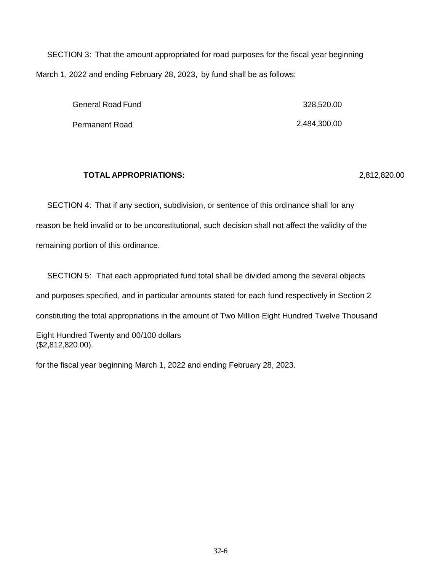SECTION 3: That the amount appropriated for road purposes for the fiscal year beginning March 1, 2022 and ending February 28, 2023, by fund shall be as follows:

| <b>General Road Fund</b> | 328,520.00   |
|--------------------------|--------------|
| Permanent Road           | 2,484,300.00 |

#### **TOTAL APPROPRIATIONS:** 2,812,820.00

SECTION 4: That if any section, subdivision, or sentence of this ordinance shall for any reason be held invalid or to be unconstitutional, such decision shall not affect the validity of the remaining portion of this ordinance.

SECTION 5: That each appropriated fund total shall be divided among the several objects and purposes specified, and in particular amounts stated for each fund respectively in Section 2 constituting the total appropriations in the amount of Two Million Eight Hundred Twelve Thousand Eight Hundred Twenty and 00/100 dollars (\$2,812,820.00).

for the fiscal year beginning March 1, 2022 and ending February 28, 2023.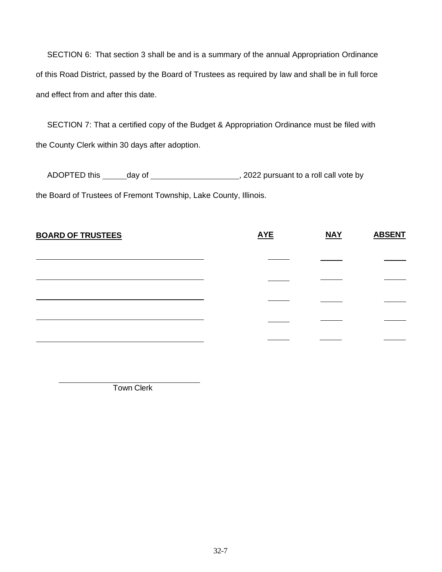SECTION 6: That section 3 shall be and is a summary of the annual Appropriation Ordinance of this Road District, passed by the Board of Trustees as required by law and shall be in full force and effect from and after this date.

SECTION 7: That a certified copy of the Budget & Appropriation Ordinance must be filed with the County Clerk within 30 days after adoption.

ADOPTED this day of day define the state of the state of the ADOPTED this day of  $\sim$ the Board of Trustees of Fremont Township, Lake County, Illinois.

| <b>BOARD OF TRUSTEES</b> | <b>AYE</b> | <b>NAY</b> | <b>ABSENT</b> |
|--------------------------|------------|------------|---------------|
|                          |            |            |               |
|                          |            |            |               |
|                          |            |            |               |
|                          |            |            |               |
|                          |            |            |               |

Town Clerk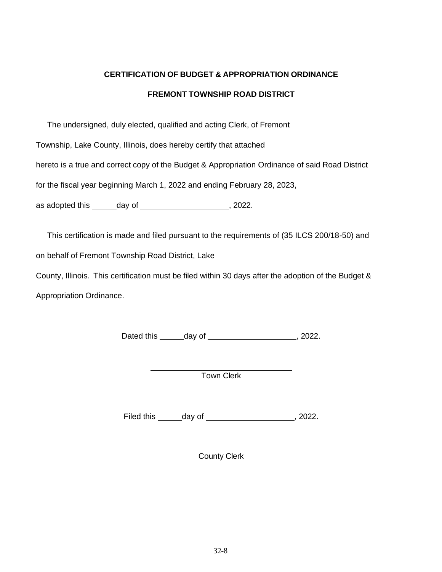# **CERTIFICATION OF BUDGET & APPROPRIATION ORDINANCE**

# **FREMONT TOWNSHIP ROAD DISTRICT**

The undersigned, duly elected, qualified and acting Clerk, of Fremont

Township, Lake County, Illinois, does hereby certify that attached

hereto is a true and correct copy of the Budget & Appropriation Ordinance of said Road District

for the fiscal year beginning March 1, 2022 and ending February 28, 2023,

as adopted this  $\qquad \qquad$  day of  $\qquad \qquad$ , 2022.

This certification is made and filed pursuant to the requirements of (35 ILCS 200/18-50) and

on behalf of Fremont Township Road District, Lake

County, Illinois. This certification must be filed within 30 days after the adoption of the Budget & Appropriation Ordinance.

Dated this \_\_\_\_\_\_ day of \_\_\_\_\_\_\_\_\_\_\_\_\_\_\_\_\_\_\_\_\_\_\_\_\_\_, 2022.

Town Clerk

Filed this  $\_\_\_\_$  day of  $\_\_\_\_\_\_\_\$  2022.

County Clerk